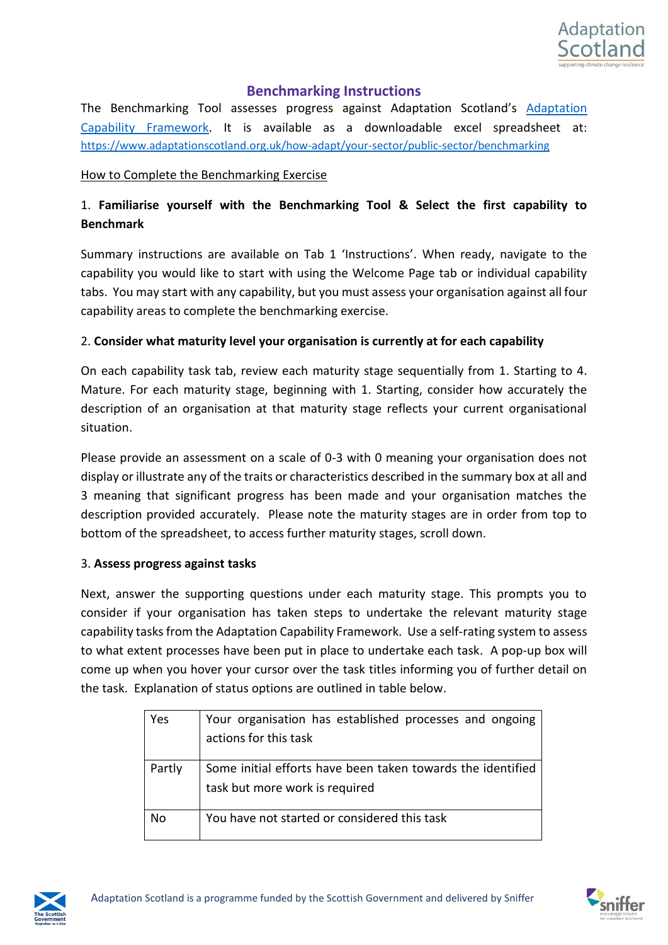

## **Benchmarking Instructions**

The Benchmarking Tool assesses progress against Adaptation Scotland's [Adaptation](https://www.adaptationscotland.org.uk/how-adapt/your-sector/public-sector/framework)  [Capability Framework.](https://www.adaptationscotland.org.uk/how-adapt/your-sector/public-sector/framework) It is available as a downloadable excel spreadsheet at: <https://www.adaptationscotland.org.uk/how-adapt/your-sector/public-sector/benchmarking>

#### How to Complete the Benchmarking Exercise

# 1. **Familiarise yourself with the Benchmarking Tool & Select the first capability to Benchmark**

Summary instructions are available on Tab 1 'Instructions'. When ready, navigate to the capability you would like to start with using the Welcome Page tab or individual capability tabs. You may start with any capability, but you must assess your organisation against all four capability areas to complete the benchmarking exercise.

### 2. **Consider what maturity level your organisation is currently at for each capability**

On each capability task tab, review each maturity stage sequentially from 1. Starting to 4. Mature. For each maturity stage, beginning with 1. Starting, consider how accurately the description of an organisation at that maturity stage reflects your current organisational situation.

Please provide an assessment on a scale of 0-3 with 0 meaning your organisation does not display or illustrate any of the traits or characteristics described in the summary box at all and 3 meaning that significant progress has been made and your organisation matches the description provided accurately. Please note the maturity stages are in order from top to bottom of the spreadsheet, to access further maturity stages, scroll down.

### 3. **Assess progress against tasks**

Next, answer the supporting questions under each maturity stage. This prompts you to consider if your organisation has taken steps to undertake the relevant maturity stage capability tasks from the Adaptation Capability Framework. Use a self-rating system to assess to what extent processes have been put in place to undertake each task. A pop-up box will come up when you hover your cursor over the task titles informing you of further detail on the task. Explanation of status options are outlined in table below.

| Yes    | Your organisation has established processes and ongoing     |
|--------|-------------------------------------------------------------|
|        | actions for this task                                       |
| Partly | Some initial efforts have been taken towards the identified |
|        | task but more work is required                              |
| No     | You have not started or considered this task                |